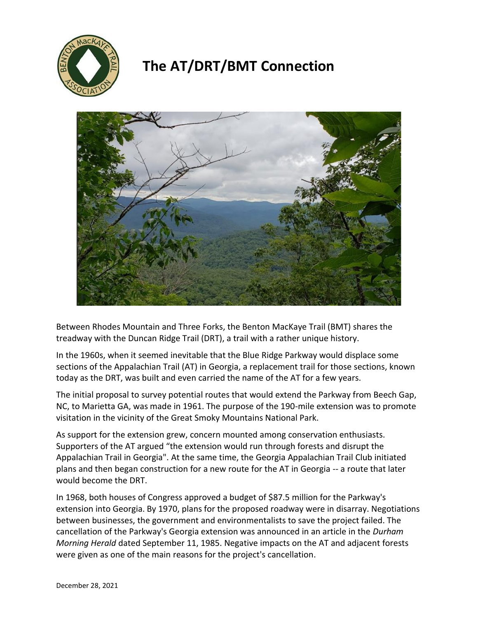

## **The AT/DRT/BMT Connection**



Between Rhodes Mountain and Three Forks, the Benton MacKaye Trail (BMT) shares the treadway with the Duncan Ridge Trail (DRT), a trail with a rather unique history.

In the 1960s, when it seemed inevitable that the Blue Ridge Parkway would displace some sections of the Appalachian Trail (AT) in Georgia, a replacement trail for those sections, known today as the DRT, was built and even carried the name of the AT for a few years.

The initial proposal to survey potential routes that would extend the Parkway from Beech Gap, NC, to Marietta GA, was made in 1961. The purpose of the 190-mile extension was to promote visitation in the vicinity of the Great Smoky Mountains National Park.

As support for the extension grew, concern mounted among conservation enthusiasts. Supporters of the AT argued "the extension would run through forests and disrupt the Appalachian Trail in Georgia". At the same time, the Georgia Appalachian Trail Club initiated plans and then began construction for a new route for the AT in Georgia -- a route that later would become the DRT.

In 1968, both houses of Congress approved a budget of \$87.5 million for the Parkway's extension into Georgia. By 1970, plans for the proposed roadway were in disarray. Negotiations between businesses, the government and environmentalists to save the project failed. The cancellation of the Parkway's Georgia extension was announced in an article in the *Durham Morning Herald* dated September 11, 1985. Negative impacts on the AT and adjacent forests were given as one of the main reasons for the project's cancellation.